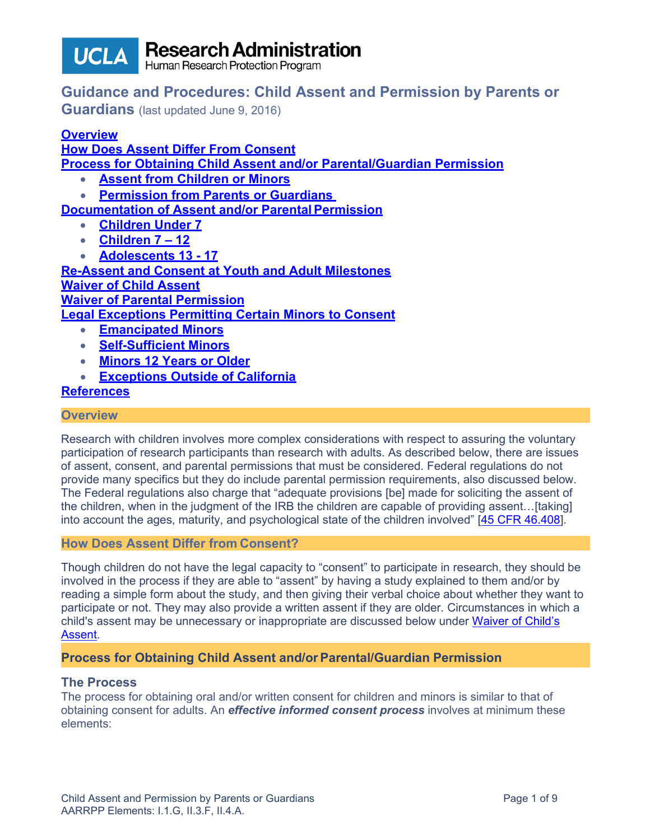

Research Administration

# **Guidance and Procedures: Child Assent and Permission by Parents or**

**Guardians** (last updated June 9, 2016)

# **[Overview](#page-0-0)**

**[How Does Assent Differ From Consent](#page-0-1) [Process for Obtaining Child Assent and/or Parental/Guardian Permission](#page-0-2)**

- **[Assent from Children or](#page-1-0) Minors**
- **[Permission from Parents or Guardians](#page-1-1)**

**[Documentation of Assent and/or Parental](#page-2-0) Permission**

- **[Children Under](#page-2-0) 7**
- **[Children 7 –](#page-3-0) 12**
- **Adolescents 13 - 17**

**[Re-Assent and Consent at Youth and Adult Milestones](#page-4-0) [Waiver of Child Assent](#page-4-1)**

**[Waiver of Parental Permission](#page-4-2)**

**[Legal Exceptions Permitting Certain Minors to Consent](#page-5-0)**

- **[Emancipated](#page-6-0) Minors**
- **[Self-Sufficient](#page-6-1) Minors**
- **[Minors 12 Years or Older](#page-6-2)**
- **[Exceptions Outside of California](#page-7-0)**

# **[References](#page-8-0)**

#### <span id="page-0-0"></span>**Overview**

Research with children involves more complex considerations with respect to assuring the voluntary participation of research participants than research with adults. As described below, there are issues of assent, consent, and parental permissions that must be considered. Federal regulations do not provide many specifics but they do include parental permission requirements, also discussed below. The Federal regulations also charge that "adequate provisions [be] made for soliciting the assent of the children, when in the judgment of the IRB the children are capable of providing assent...[taking] into account the ages, maturity, and psychological state of the children involved" [\[45 CFR 46.408\]](http://www.hhs.gov/ohrp/humansubjects/guidance/45cfr46.html%2346.408).

### <span id="page-0-1"></span>**How Does Assent Differ from Consent?**

Though children do not have the legal capacity to "consent" to participate in research, they should be involved in the process if they are able to "assent" by having a study explained to them and/or by reading a simple form about the study, and then giving their verbal choice about whether they want to participate or not. They may also provide a written assent if they are older. Circumstances in which a child's assent may be unnecessary or inappropriate are discussed below under [Waiver of Child's](#page-4-1) [Assent.](#page-4-1)

# <span id="page-0-2"></span>**Process for Obtaining Child Assent and/or Parental/Guardian Permission**

### **The Process**

The process for obtaining oral and/or written consent for children and minors is similar to that of obtaining consent for adults. An *effective informed consent process* involves at minimum these elements: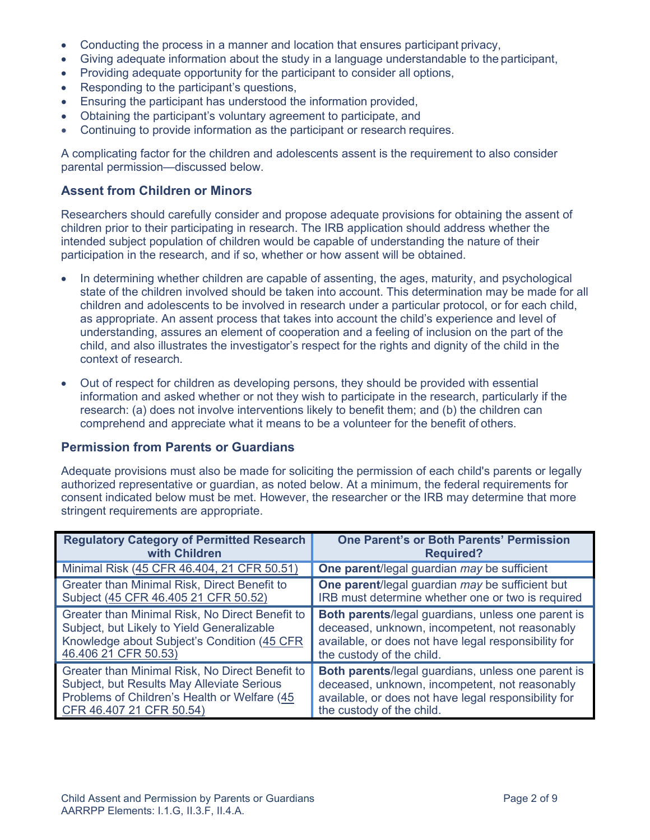- Conducting the process in a manner and location that ensures participant privacy,
- Giving adequate information about the study in a language understandable to the participant,
- Providing adequate opportunity for the participant to consider all options,
- Responding to the participant's questions,
- Ensuring the participant has understood the information provided,
- Obtaining the participant's voluntary agreement to participate, and
- Continuing to provide information as the participant or research requires.

A complicating factor for the children and adolescents assent is the requirement to also consider parental permission—discussed below.

### <span id="page-1-0"></span>**Assent from Children or Minors**

Researchers should carefully consider and propose adequate provisions for obtaining the assent of children prior to their participating in research. The IRB application should address whether the intended subject population of children would be capable of understanding the nature of their participation in the research, and if so, whether or how assent will be obtained.

- In determining whether children are capable of assenting, the ages, maturity, and psychological state of the children involved should be taken into account. This determination may be made for all children and adolescents to be involved in research under a particular protocol, or for each child, as appropriate. An assent process that takes into account the child's experience and level of understanding, assures an element of cooperation and a feeling of inclusion on the part of the child, and also illustrates the investigator's respect for the rights and dignity of the child in the context of research.
- Out of respect for children as developing persons, they should be provided with essential information and asked whether or not they wish to participate in the research, particularly if the research: (a) does not involve interventions likely to benefit them; and (b) the children can comprehend and appreciate what it means to be a volunteer for the benefit of others.

### <span id="page-1-1"></span>**Permission from Parents or Guardians**

Adequate provisions must also be made for soliciting the permission of each child's parents or legally authorized representative or guardian, as noted below. At a minimum, the federal requirements for consent indicated below must be met. However, the researcher or the IRB may determine that more stringent requirements are appropriate.

| <b>Regulatory Category of Permitted Research</b> | One Parent's or Both Parents' Permission                  |
|--------------------------------------------------|-----------------------------------------------------------|
| with Children                                    | <b>Required?</b>                                          |
| Minimal Risk (45 CFR 46.404, 21 CFR 50.51)       | One parent/legal guardian may be sufficient               |
| Greater than Minimal Risk, Direct Benefit to     | One parent/legal guardian may be sufficient but           |
| Subject (45 CFR 46.405 21 CFR 50.52)             | IRB must determine whether one or two is required         |
| Greater than Minimal Risk, No Direct Benefit to  | Both parents/legal guardians, unless one parent is        |
| Subject, but Likely to Yield Generalizable       | deceased, unknown, incompetent, not reasonably            |
| Knowledge about Subject's Condition (45 CFR      | available, or does not have legal responsibility for      |
| 46.406 21 CFR 50.53)                             | the custody of the child.                                 |
| Greater than Minimal Risk, No Direct Benefit to  | <b>Both parents/legal guardians, unless one parent is</b> |
| Subject, but Results May Alleviate Serious       | deceased, unknown, incompetent, not reasonably            |
| Problems of Children's Health or Welfare (45     | available, or does not have legal responsibility for      |
| CFR 46.407 21 CFR 50.54)                         | the custody of the child.                                 |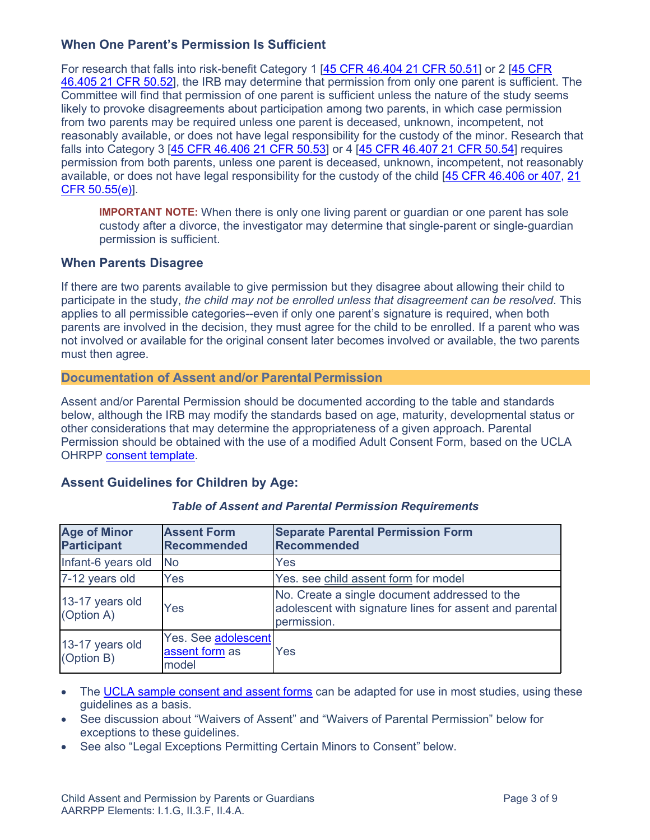# **When One Parent's Permission Is Sufficient**

For research that falls into risk-benefit Category 1 [\[45 CFR 46.404](http://www.hhs.gov/ohrp/regulations-and-policy/regulations/45-cfr-46/%2346.404) [21 CFR 50.51\]](http://www.accessdata.fda.gov/scripts/cdrh/cfdocs/cfCFR/CFRSearch.cfm?fr=50.3) or 2 [\[45 CFR](http://www.hhs.gov/ohrp/regulations-and-policy/regulations/45-cfr-46/%2346.405) [46.405](http://www.hhs.gov/ohrp/regulations-and-policy/regulations/45-cfr-46/%2346.405) [21 CFR 50.52\]](http://www.accessdata.fda.gov/scripts/cdrh/cfdocs/cfCFR/CFRSearch.cfm?fr=50.52), the IRB may determine that permission from only one parent is sufficient. The Committee will find that permission of one parent is sufficient unless the nature of the study seems likely to provoke disagreements about participation among two parents, in which case permission from two parents may be required unless one parent is deceased, unknown, incompetent, not reasonably available, or does not have legal responsibility for the custody of the minor. Research that falls into Category 3 [\[45 CFR 46.406](http://www.hhs.gov/ohrp/regulations-and-policy/regulations/45-cfr-46/%2346.406) [21 CFR 50.53\]](http://www.accessdata.fda.gov/scripts/cdrh/cfdocs/cfCFR/CFRSearch.cfm?fr=50.53) or 4 [\[45 CFR 46.407](http://www.hhs.gov/ohrp/regulations-and-policy/regulations/45-cfr-46/%2346.407) [21 CFR 50.54\]](http://www.accessdata.fda.gov/scripts/cdrh/cfdocs/cfCFR/CFRSearch.cfm?fr=50.54) requires permission from both parents, unless one parent is deceased, unknown, incompetent, not reasonably available, or does not have legal responsibility for the custody of the child [\[45 CFR 46.406 or 407,](http://www.hhs.gov/ohrp/regulations-and-policy/regulations/45-cfr-46/%2346.407) [21](http://www.accessdata.fda.gov/scripts/cdrh/cfdocs/cfCFR/CFRSearch.cfm?fr=50.55) [CFR 50.55\(e\)\]](http://www.accessdata.fda.gov/scripts/cdrh/cfdocs/cfCFR/CFRSearch.cfm?fr=50.55).

**IMPORTANT NOTE:** When there is only one living parent or guardian or one parent has sole custody after a divorce, the investigator may determine that single-parent or single-guardian permission is sufficient.

### **When Parents Disagree**

If there are two parents available to give permission but they disagree about allowing their child to participate in the study, *the child may not be enrolled unless that disagreement can be resolved*. This applies to all permissible categories--even if only one parent's signature is required, when both parents are involved in the decision, they must agree for the child to be enrolled. If a parent who was not involved or available for the original consent later becomes involved or available, the two parents must then agree.

### <span id="page-2-0"></span>**Documentation of Assent and/or Parental Permission**

Assent and/or Parental Permission should be documented according to the table and standards below, although the IRB may modify the standards based on age, maturity, developmental status or other considerations that may determine the appropriateness of a given approach. Parental Permission should be obtained with the use of a modified Adult Consent Form, based on the UCLA OHRPP [consent template.](http://ohrpp.research.ucla.edu/pages/biomedical-informed-consent)

### **Assent Guidelines for Children by Age:**

| <b>Age of Minor</b><br><b>Participant</b> | <b>Assent Form</b><br>Recommended                     | <b>Separate Parental Permission Form</b><br>Recommended                                                                 |
|-------------------------------------------|-------------------------------------------------------|-------------------------------------------------------------------------------------------------------------------------|
| Infant-6 years old                        | <b>No</b>                                             | Yes                                                                                                                     |
| 7-12 years old                            | <b>Yes</b>                                            | Yes. see child assent form for model                                                                                    |
| 13-17 years old<br>(Option A)             | Yes                                                   | No. Create a single document addressed to the<br>adolescent with signature lines for assent and parental<br>permission. |
| 13-17 years old<br>(Option B)             | <b>Yes. See adolescent</b><br>assent form as<br>model | Yes                                                                                                                     |

### *Table of Assent and Parental Permission Requirements*

- The [UCLA sample consent and assent forms](http://ohrpp.research.ucla.edu/pages/biomedical-informed-consent) can be adapted for use in most studies, using these guidelines as a basis.
- See discussion about "Waivers of Assent" and "Waivers of Parental Permission" below for exceptions to these guidelines.
- See also "Legal Exceptions Permitting Certain Minors to Consent" below.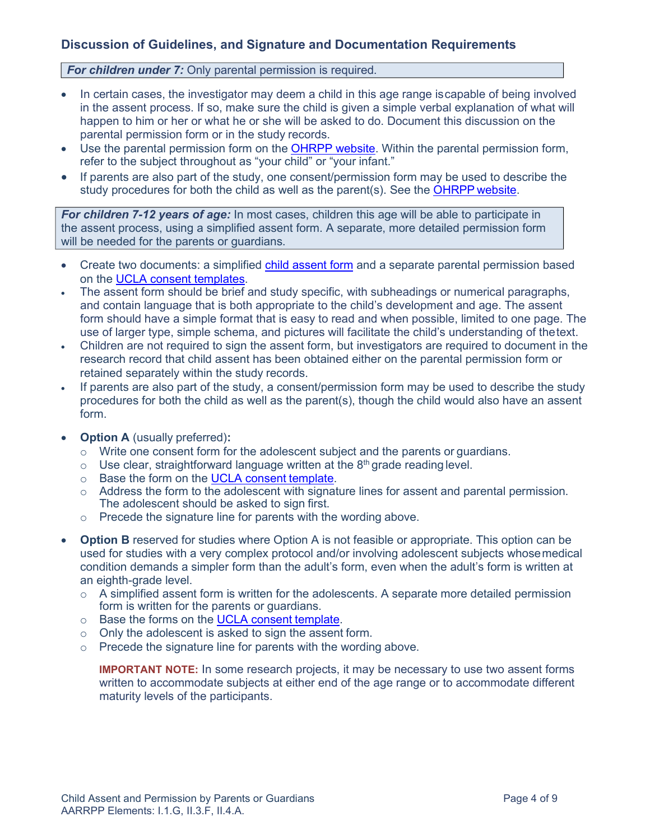# **Discussion of Guidelines, and Signature and Documentation Requirements**

*For children under 7:* Only parental permission is required.

- In certain cases, the investigator may deem a child in this age range iscapable of being involved in the assent process. If so, make sure the child is given a simple verbal explanation of what will happen to him or her or what he or she will be asked to do. Document this discussion on the parental permission form or in the study records.
- Use the parental permission form on the [OHRPP website. W](http://ohrpp.research.ucla.edu/pages/biomedical-informed-consent)ithin the parental permission form, refer to the subject throughout as "your child" or "your infant."
- If parents are also part of the study, one consent/permission form may be used to describe the study procedures for both the child as well as the parent(s). See the OHRPP [website.](http://ohrpp.research.ucla.edu/pages/biomedical-informed-consent)

<span id="page-3-0"></span>*For children 7-12 years of age:* In most cases, children this age will be able to participate in the assent process, using a simplified assent form. A separate, more detailed permission form will be needed for the parents or guardians.

- Create two documents: a simplified [child assent form](http://ohrpp.research.ucla.edu/pages/biomedical-informed-consent) and a separate parental permission based on the [UCLA consent](http://www.research.ucsf.edu/chr/Guide/chrG_SpMinors.asp%234d) templates.
- The assent form should be brief and study specific, with subheadings or numerical paragraphs, and contain language that is both appropriate to the child's development and age. The assent form should have a simple format that is easy to read and when possible, limited to one page. The use of larger type, simple schema, and pictures will facilitate the child's understanding of thetext.
- Children are not required to sign the assent form, but investigators are required to document in the research record that child assent has been obtained either on the parental permission form or retained separately within the study records.
- If parents are also part of the study, a consent/permission form may be used to describe the study procedures for both the child as well as the parent(s), though the child would also have an assent form.
- **Option A** (usually preferred)**:**
	- o Write one consent form for the adolescent subject and the parents or guardians.
	- $\circ$  Use clear, straightforward language written at the 8<sup>th</sup> grade reading level.
	- o Base the form on the [UCLA consent](http://ohrpp.research.ucla.edu/pages/biomedical-informed-consent) template.
	- $\circ$  Address the form to the adolescent with signature lines for assent and parental permission. The adolescent should be asked to sign first.
	- o Precede the signature line for parents with the wording above.
- **Option B** reserved for studies where Option A is not feasible or appropriate. This option can be used for studies with a very complex protocol and/or involving adolescent subjects whosemedical condition demands a simpler form than the adult's form, even when the adult's form is written at an eighth-grade level.
	- $\circ$  A simplified assent form is written for the adolescents. A separate more detailed permission form is written for the parents or guardians.
	- o Base the forms on the [UCLA consent](http://ohrpp.research.ucla.edu/pages/biomedical-informed-consent) template.
	- o Only the adolescent is asked to sign the assent form.
	- o Precede the signature line for parents with the wording above.

**IMPORTANT NOTE:** In some research projects, it may be necessary to use two assent forms written to accommodate subjects at either end of the age range or to accommodate different maturity levels of the participants.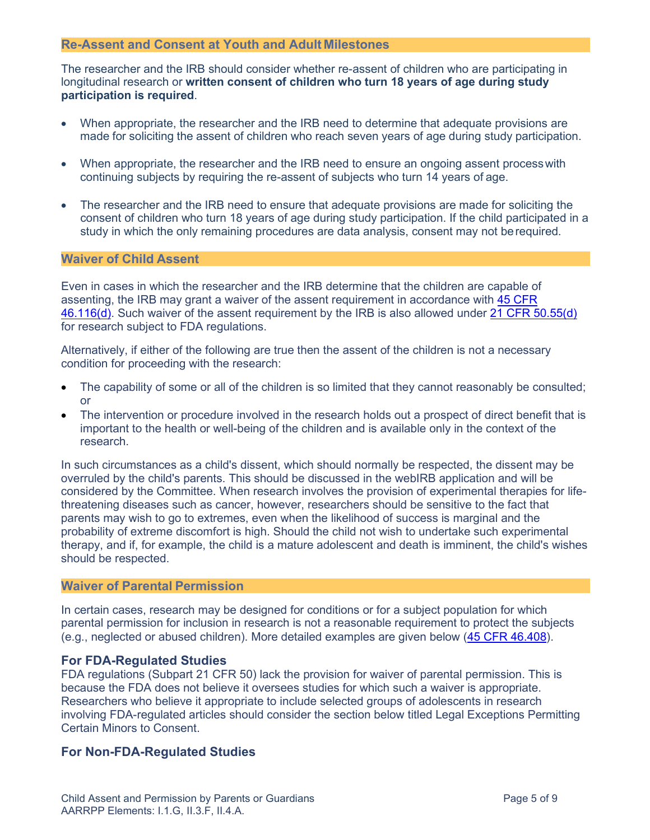#### <span id="page-4-0"></span>**Re-Assent and Consent at Youth and Adult Milestones**

The researcher and the IRB should consider whether re-assent of children who are participating in longitudinal research or **written consent of children who turn 18 years of age during study participation is required**.

- When appropriate, the researcher and the IRB need to determine that adequate provisions are made for soliciting the assent of children who reach seven years of age during study participation.
- When appropriate, the researcher and the IRB need to ensure an ongoing assent process with continuing subjects by requiring the re-assent of subjects who turn 14 years of age.
- The researcher and the IRB need to ensure that adequate provisions are made for soliciting the consent of children who turn 18 years of age during study participation. If the child participated in a study in which the only remaining procedures are data analysis, consent may not berequired.

#### <span id="page-4-1"></span>**Waiver of Child Assent**

Even in cases in which the researcher and the IRB determine that the children are capable of assenting, the IRB may grant a waiver of the assent requirement in accordance with [45 CFR](http://www.hhs.gov/ohrp/regulations-and-policy/regulations/45-cfr-46/%2346.116) [46.116\(d\).](http://www.hhs.gov/ohrp/regulations-and-policy/regulations/45-cfr-46/%2346.116) Such waiver of the assent requirement by the IRB is also allowed under [21 CFR 50.55\(d\)](http://www.accessdata.fda.gov/scripts/cdrh/cfdocs/cfcfr/CFRSearch.cfm?CFRPart=50&showFR=1&subpartNode=21%3A1.0.1.1.19.4) for research subject to FDA regulations.

Alternatively, if either of the following are true then the assent of the children is not a necessary condition for proceeding with the research:

- The capability of some or all of the children is so limited that they cannot reasonably be consulted; or
- The intervention or procedure involved in the research holds out a prospect of direct benefit that is important to the health or well-being of the children and is available only in the context of the research.

In such circumstances as a child's dissent, which should normally be respected, the dissent may be overruled by the child's parents. This should be discussed in the webIRB application and will be considered by the Committee. When research involves the provision of experimental therapies for lifethreatening diseases such as cancer, however, researchers should be sensitive to the fact that parents may wish to go to extremes, even when the likelihood of success is marginal and the probability of extreme discomfort is high. Should the child not wish to undertake such experimental therapy, and if, for example, the child is a mature adolescent and death is imminent, the child's wishes should be respected.

### <span id="page-4-2"></span>**Waiver of Parental Permission**

In certain cases, research may be designed for conditions or for a subject population for which parental permission for inclusion in research is not a reasonable requirement to protect the subjects (e.g., neglected or abused children). More detailed examples are given below [\(45 CFR 46.408\)](http://www.hhs.gov/ohrp/regulations-and-policy/regulations/45-cfr-46/%2346.408).

#### **For FDA-Regulated Studies**

FDA regulations (Subpart 21 CFR 50) lack the provision for waiver of parental permission. This is because the FDA does not believe it oversees studies for which such a waiver is appropriate. Researchers who believe it appropriate to include selected groups of adolescents in research involving FDA-regulated articles should consider the section below titled [Legal Exceptions Permitting](http://www.research.ucsf.edu/chr/Guide/chrG_SpMinors.asp%234f) [Certain Minors to Consent.](http://www.research.ucsf.edu/chr/Guide/chrG_SpMinors.asp%234f)

### **For Non-FDA-Regulated Studies**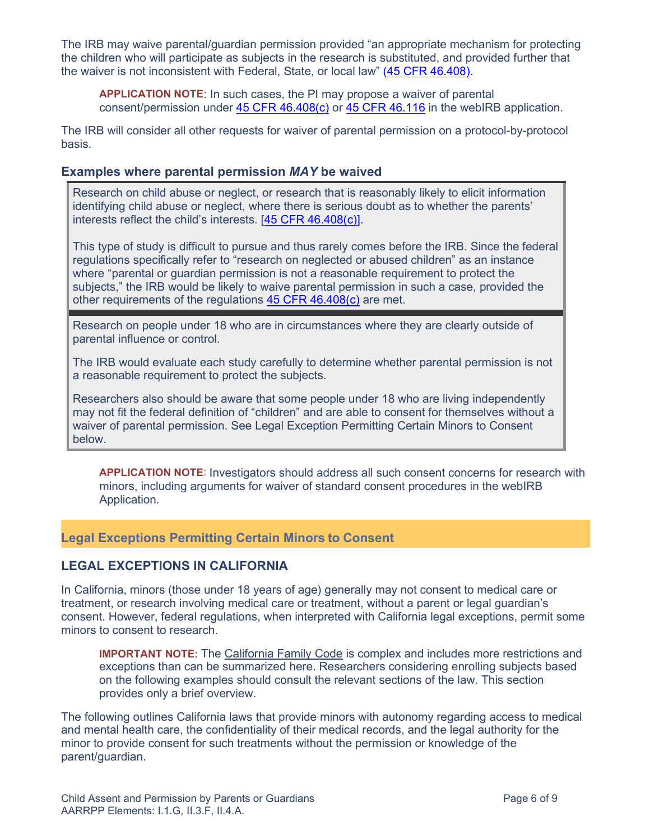The IRB may waive parental/guardian permission provided "an appropriate mechanism for protecting the children who will participate as subjects in the research is substituted, and provided further that the waiver is not inconsistent with Federal, State, or local law" [\(45 CFR 46.408\)](http://www.hhs.gov/ohrp/regulations-and-policy/regulations/45-cfr-46/%2346.408).

**APPLICATION NOTE**: In such cases, the PI may propose a waiver of parental consent/permission under [45 CFR 46.408\(c\)](http://www.hhs.gov/ohrp/regulations-and-policy/regulations/45-cfr-46/%2346.408) or [45 CFR 46.116](http://www.hhs.gov/ohrp/regulations-and-policy/regulations/45-cfr-46/%2346.116) in the webIRB application.

The IRB will consider all other requests for waiver of parental permission on a protocol-by-protocol basis.

### **Examples where parental permission** *MAY* **be waived**

Research on child abuse or neglect, or research that is reasonably likely to elicit information identifying child abuse or neglect, where there is serious doubt as to whether the parents' interests reflect the child's interests. [\[45 CFR 46.408\(c\)\]](http://www.hhs.gov/ohrp/regulations-and-policy/regulations/45-cfr-46/%2346.408).

This type of study is difficult to pursue and thus rarely comes before the IRB. Since the federal regulations specifically refer to "research on neglected or abused children" as an instance where "parental or guardian permission is not a reasonable requirement to protect the subjects," the IRB would be likely to waive parental permission in such a case, provided the other requirements of the requiations [45 CFR 46.408\(c\)](http://www.hhs.gov/ohrp/regulations-and-policy/regulations/45-cfr-46/%2346.408) are met.

Research on people under 18 who are in circumstances where they are clearly outside of parental influence or control.

The IRB would evaluate each study carefully to determine whether parental permission is not a reasonable requirement to protect the subjects.

Researchers also should be aware that some people under 18 who are living independently may not fit the federal definition of "children" and are able to consent for themselves without a waiver of parental permission. See [Legal Exception Permitting Certain Minors to Consent](http://www.research.ucsf.edu/chr/Guide/chrG_SpMinors.asp%234f) below.

**APPLICATION NOTE**: Investigators should address all such consent concerns for research with minors, including arguments for waiver of standard consent procedures in the webIRB Application*.*

### <span id="page-5-0"></span>**Legal Exceptions Permitting Certain Minors to Consent**

### **LEGAL EXCEPTIONS IN CALIFORNIA**

In California, minors (those under 18 years of age) generally may not consent to medical care or treatment, or research involving medical care or treatment, without a parent or legal guardian's consent. However, federal regulations, when interpreted with California legal exceptions, permit some minors to consent to research.

**IMPORTANT NOTE:** The [California Family Code](http://www.leginfo.ca.gov/.html/fam_table_of_contents.html) is complex and includes more restrictions and exceptions than can be summarized here. Researchers considering enrolling subjects based on the following examples should consult the relevant sections of the law. This section provides only a brief overview.

The following outlines California laws that provide minors with autonomy regarding access to medical and mental health care, the confidentiality of their medical records, and the legal authority for the minor to provide consent for such treatments without the permission or knowledge of the parent/guardian.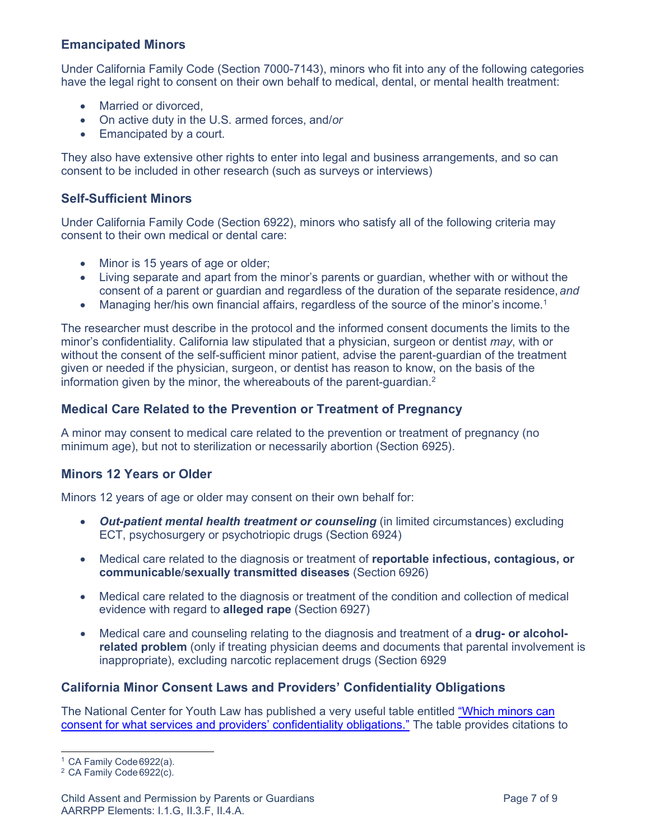### <span id="page-6-0"></span>**Emancipated Minors**

Under California Family Code (Section 7000-7143), minors who fit into any of the following categories have the legal right to consent on their own behalf to medical, dental, or mental health treatment:

- Married or divorced,
- On active duty in the U.S. armed forces, and/*or*
- Emancipated by a court.

They also have extensive other rights to enter into legal and business arrangements, and so can consent to be included in other research (such as surveys or interviews)

### <span id="page-6-1"></span>**Self-Sufficient Minors**

Under California Family Code (Section 6922), minors who satisfy all of the following criteria may consent to their own medical or dental care:

- Minor is 15 years of age or older;
- Living separate and apart from the minor's parents or guardian, whether with or without the consent of a parent or guardian and regardless of the duration of the separate residence,*and*
- Managing her/his own financial affairs, regardless of the source of the minor's income.<sup>1</sup>

The researcher must describe in the protocol and the informed consent documents the limits to the minor's confidentiality. California law stipulated that a physician, surgeon or dentist *may*, with or without the consent of the self-sufficient minor patient, advise the parent-guardian of the treatment given or needed if the physician, surgeon, or dentist has reason to know, on the basis of the information given by the minor, the whereabouts of the parent-guardian. $2$ 

### **Medical Care Related to the Prevention or Treatment of Pregnancy**

A minor may consent to medical care related to the prevention or treatment of pregnancy (no minimum age), but not to sterilization or necessarily abortion (Section 6925).

### <span id="page-6-2"></span>**Minors 12 Years or Older**

Minors 12 years of age or older may consent on their own behalf for:

- *Out-patient mental health treatment or counseling* (in limited circumstances) excluding ECT, psychosurgery or psychotriopic drugs (Section 6924)
- Medical care related to the diagnosis or treatment of **reportable infectious, contagious, or communicable**/**sexually transmitted diseases** (Section 6926)
- Medical care related to the diagnosis or treatment of the condition and collection of medical evidence with regard to **alleged rape** (Section 6927)
- Medical care and counseling relating to the diagnosis and treatment of a **drug- or alcoholrelated problem** (only if treating physician deems and documents that parental involvement is inappropriate), excluding narcotic replacement drugs (Section 6929

### **California Minor Consent Laws and Providers' Confidentiality Obligations**

The National Center for Youth Law has published a very useful table entitled ["Which minors can](http://www.csus.edu/indiv/b/brocks/Courses/EDS%20245/Handouts/Week%207/CA_Minor_Consent.pdf) [consent for what services and providers' confidentiality obligations."](http://www.csus.edu/indiv/b/brocks/Courses/EDS%20245/Handouts/Week%207/CA_Minor_Consent.pdf) The table provides citations to

<span id="page-6-3"></span><sup>1</sup> CA Family Code6922(a).

<span id="page-6-4"></span><sup>&</sup>lt;sup>2</sup> CA Family Code 6922(c).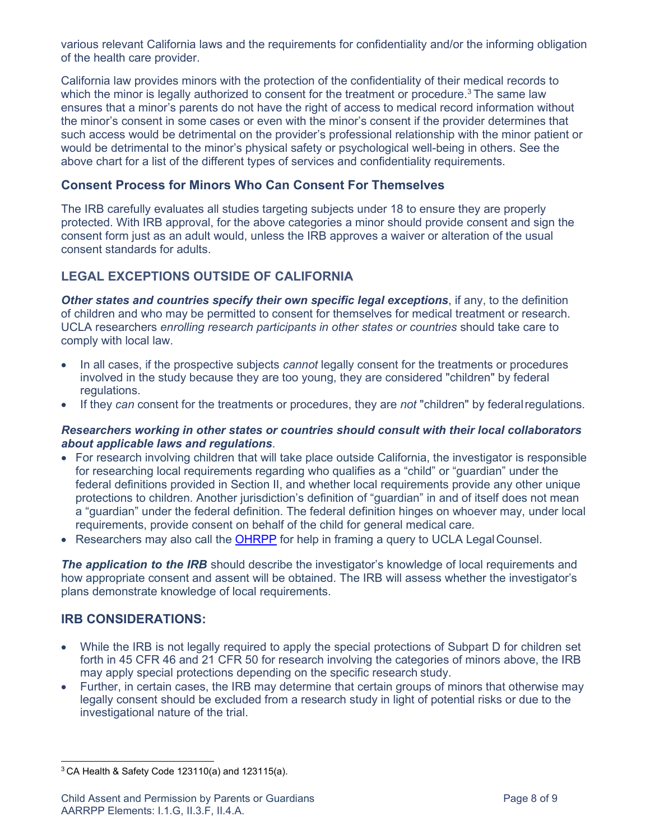various relevant California laws and the requirements for confidentiality and/or the informing obligation of the health care provider.

California law provides minors with the protection of the confidentiality of their medical records to which the minor is legally authorized to consent for the treatment or procedure.<sup>3</sup> The same law ensures that a minor's parents do not have the right of access to medical record information without the minor's consent in some cases or even with the minor's consent if the provider determines that such access would be detrimental on the provider's professional relationship with the minor patient or would be detrimental to the minor's physical safety or psychological well-being in others. See the above chart for a list of the different types of services and confidentiality requirements.

### **Consent Process for Minors Who Can Consent For Themselves**

The IRB carefully evaluates all studies targeting subjects under 18 to ensure they are properly protected. With IRB approval, for the above categories a minor should provide consent and sign the consent form just as an adult would, unless the IRB approves a waiver or alteration of the usual consent standards for adults.

# <span id="page-7-0"></span>**LEGAL EXCEPTIONS OUTSIDE OF CALIFORNIA**

*Other states and countries specify their own specific legal exceptions*, if any, to the definition of children and who may be permitted to consent for themselves for medical treatment or research. UCLA researchers *enrolling research participants in other states or countries* should take care to comply with local law.

- In all cases, if the prospective subjects *cannot* legally consent for the treatments or procedures involved in the study because they are too young, they are considered "children" by federal regulations.
- If they *can* consent for the treatments or procedures, they are *not* "children" by federalregulations.

#### *Researchers working in other states or countries should consult with their local collaborators about applicable laws and regulations*.

- For research involving children that will take place outside California, the investigator is responsible for researching local requirements regarding who qualifies as a "child" or "guardian" under the federal definitions provided in Section II, and whether local requirements provide any other unique protections to children. Another jurisdiction's definition of "guardian" in and of itself does not mean a "guardian" under the federal definition. The federal definition hinges on whoever may, under local requirements, provide consent on behalf of the child for general medical care*.*
- Researchers may also call the [OHRPP](http://ohrpp.research.ucla.edu/pages/contact) for help in framing a query to UCLA Legal Counsel.

**The application to the IRB** should describe the investigator's knowledge of local requirements and how appropriate consent and assent will be obtained. The IRB will assess whether the investigator's plans demonstrate knowledge of local requirements.

# **IRB CONSIDERATIONS:**

- While the IRB is not legally required to apply the special protections of Subpart D for children set forth in 45 CFR 46 and 21 CFR 50 for research involving the categories of minors above, the IRB may apply special protections depending on the specific research study.
- Further, in certain cases, the IRB may determine that certain groups of minors that otherwise may legally consent should be excluded from a research study in light of potential risks or due to the investigational nature of the trial.

<span id="page-7-1"></span> $3$  CA Health & Safety Code 123110(a) and 123115(a).